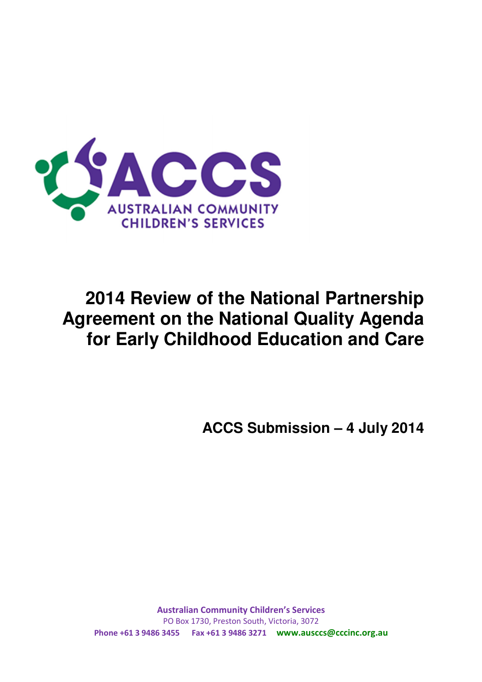

# **2014 Review of the National Partnership Agreement on the National Quality Agenda for Early Childhood Education and Care**

**ACCS Submission – 4 July 2014** 

**Australian Community Children's Services**  PO Box 1730, Preston South, Victoria, 3072 **Phone +61 3 9486 3455 Fax +61 3 9486 3271 www.ausccs@cccinc.org.au**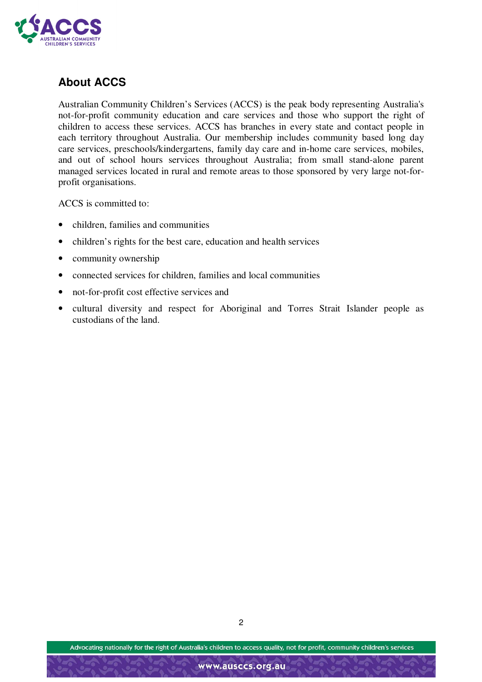

## **About ACCS**

Australian Community Children's Services (ACCS) is the peak body representing Australia's not-for-profit community education and care services and those who support the right of children to access these services. ACCS has branches in every state and contact people in each territory throughout Australia. Our membership includes community based long day care services, preschools/kindergartens, family day care and in-home care services, mobiles, and out of school hours services throughout Australia; from small stand-alone parent managed services located in rural and remote areas to those sponsored by very large not-forprofit organisations.

ACCS is committed to:

- children, families and communities
- children's rights for the best care, education and health services
- community ownership
- connected services for children, families and local communities
- not-for-profit cost effective services and
- cultural diversity and respect for Aboriginal and Torres Strait Islander people as custodians of the land.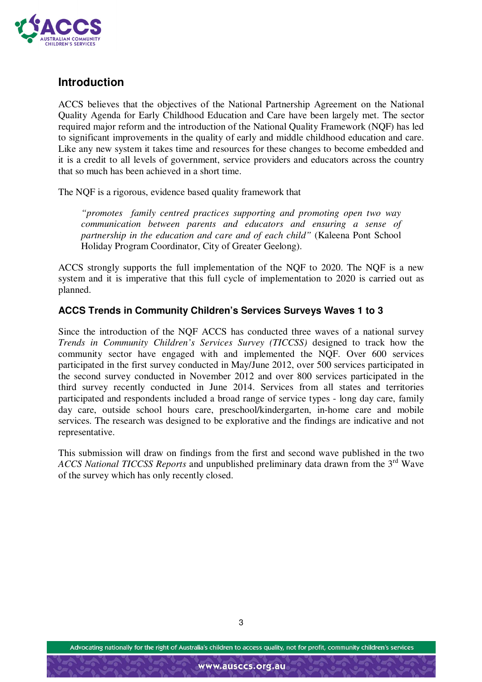

## **Introduction**

ACCS believes that the objectives of the National Partnership Agreement on the National Quality Agenda for Early Childhood Education and Care have been largely met. The sector required major reform and the introduction of the National Quality Framework (NQF) has led to significant improvements in the quality of early and middle childhood education and care. Like any new system it takes time and resources for these changes to become embedded and it is a credit to all levels of government, service providers and educators across the country that so much has been achieved in a short time.

The NQF is a rigorous, evidence based quality framework that

*"promotes family centred practices supporting and promoting open two way communication between parents and educators and ensuring a sense of partnership in the education and care and of each child"* (Kaleena Pont School Holiday Program Coordinator, City of Greater Geelong).

ACCS strongly supports the full implementation of the NQF to 2020. The NQF is a new system and it is imperative that this full cycle of implementation to 2020 is carried out as planned.

#### **ACCS Trends in Community Children's Services Surveys Waves 1 to 3**

Since the introduction of the NQF ACCS has conducted three waves of a national survey *Trends in Community Children's Services Survey (TICCSS)* designed to track how the community sector have engaged with and implemented the NQF. Over 600 services participated in the first survey conducted in May/June 2012, over 500 services participated in the second survey conducted in November 2012 and over 800 services participated in the third survey recently conducted in June 2014. Services from all states and territories participated and respondents included a broad range of service types - long day care, family day care, outside school hours care, preschool/kindergarten, in-home care and mobile services. The research was designed to be explorative and the findings are indicative and not representative.

This submission will draw on findings from the first and second wave published in the two *ACCS National TICCSS Reports* and unpublished preliminary data drawn from the 3rd Wave of the survey which has only recently closed.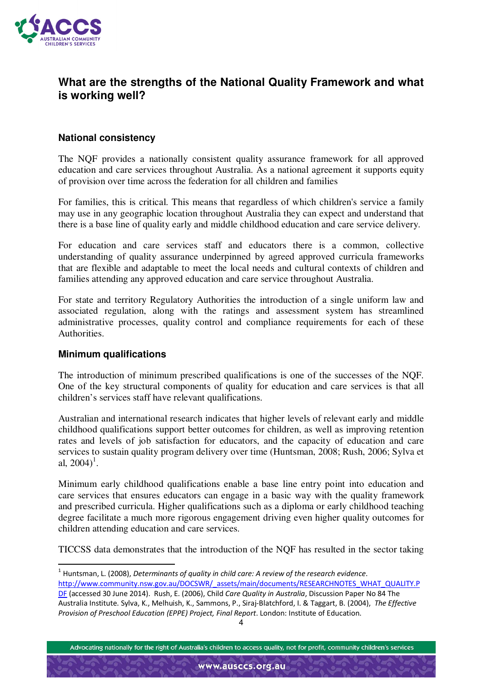

## **What are the strengths of the National Quality Framework and what is working well?**

### **National consistency**

The NQF provides a nationally consistent quality assurance framework for all approved education and care services throughout Australia. As a national agreement it supports equity of provision over time across the federation for all children and families

For families, this is critical. This means that regardless of which children's service a family may use in any geographic location throughout Australia they can expect and understand that there is a base line of quality early and middle childhood education and care service delivery.

For education and care services staff and educators there is a common, collective understanding of quality assurance underpinned by agreed approved curricula frameworks that are flexible and adaptable to meet the local needs and cultural contexts of children and families attending any approved education and care service throughout Australia.

For state and territory Regulatory Authorities the introduction of a single uniform law and associated regulation, along with the ratings and assessment system has streamlined administrative processes, quality control and compliance requirements for each of these Authorities.

#### **Minimum qualifications**

<u>.</u>

The introduction of minimum prescribed qualifications is one of the successes of the NQF. One of the key structural components of quality for education and care services is that all children's services staff have relevant qualifications.

Australian and international research indicates that higher levels of relevant early and middle childhood qualifications support better outcomes for children, as well as improving retention rates and levels of job satisfaction for educators, and the capacity of education and care services to sustain quality program delivery over time (Huntsman, 2008; Rush, 2006; Sylva et al,  $2004$ <sup>1</sup>.

Minimum early childhood qualifications enable a base line entry point into education and care services that ensures educators can engage in a basic way with the quality framework and prescribed curricula. Higher qualifications such as a diploma or early childhood teaching degree facilitate a much more rigorous engagement driving even higher quality outcomes for children attending education and care services.

TICCSS data demonstrates that the introduction of the NQF has resulted in the sector taking

1 Huntsman, L. (2008), *Determinants of quality in child care: A review of the research evidence*. http://www.community.nsw.gov.au/DOCSWR/\_assets/main/documents/RESEARCHNOTES\_WHAT\_QUALITY.P DF (accessed 30 June 2014). Rush, E. (2006), Child *Care Quality in Australia*, Discussion Paper No 84 The Australia Institute. Sylva, K., Melhuish, K., Sammons, P., Siraj-Blatchford, I. & Taggart, B. (2004), *The Effective Provision of Preschool Education (EPPE) Project, Final Report*. London: Institute of Education.

Advocating nationally for the right of Australia's children to access quality, not for profit, community children's services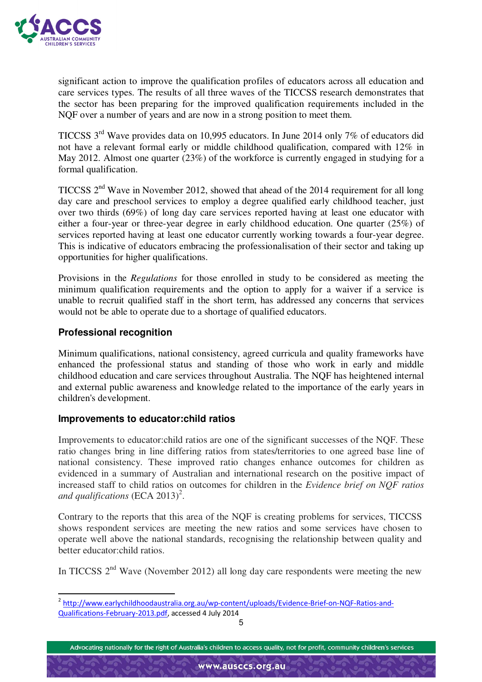

significant action to improve the qualification profiles of educators across all education and care services types. The results of all three waves of the TICCSS research demonstrates that the sector has been preparing for the improved qualification requirements included in the NQF over a number of years and are now in a strong position to meet them.

TICCSS 3rd Wave provides data on 10,995 educators. In June 2014 only 7% of educators did not have a relevant formal early or middle childhood qualification, compared with 12% in May 2012. Almost one quarter (23%) of the workforce is currently engaged in studying for a formal qualification.

TICCSS 2nd Wave in November 2012, showed that ahead of the 2014 requirement for all long day care and preschool services to employ a degree qualified early childhood teacher, just over two thirds (69%) of long day care services reported having at least one educator with either a four-year or three-year degree in early childhood education. One quarter (25%) of services reported having at least one educator currently working towards a four-year degree. This is indicative of educators embracing the professionalisation of their sector and taking up opportunities for higher qualifications.

Provisions in the *Regulations* for those enrolled in study to be considered as meeting the minimum qualification requirements and the option to apply for a waiver if a service is unable to recruit qualified staff in the short term, has addressed any concerns that services would not be able to operate due to a shortage of qualified educators.

### **Professional recognition**

 $\overline{\phantom{a}}$ 

Minimum qualifications, national consistency, agreed curricula and quality frameworks have enhanced the professional status and standing of those who work in early and middle childhood education and care services throughout Australia. The NQF has heightened internal and external public awareness and knowledge related to the importance of the early years in children's development.

#### **Improvements to educator:child ratios**

Improvements to educator:child ratios are one of the significant successes of the NQF. These ratio changes bring in line differing ratios from states/territories to one agreed base line of national consistency. These improved ratio changes enhance outcomes for children as evidenced in a summary of Australian and international research on the positive impact of increased staff to child ratios on outcomes for children in the *Evidence brief on NQF ratios*  and qualifications (ECA 2013)<sup>2</sup>.

Contrary to the reports that this area of the NQF is creating problems for services, TICCSS shows respondent services are meeting the new ratios and some services have chosen to operate well above the national standards, recognising the relationship between quality and better educator:child ratios.

In TICCSS  $2<sup>nd</sup>$  Wave (November 2012) all long day care respondents were meeting the new

<sup>&</sup>lt;sup>2</sup> http://www.earlychildhoodaustralia.org.au/wp-content/uploads/Evidence-Brief-on-NQF-Ratios-and-Qualifications-February-2013.pdf, accessed 4 July 2014

Advocating nationally for the right of Australia's children to access quality, not for profit, community children's services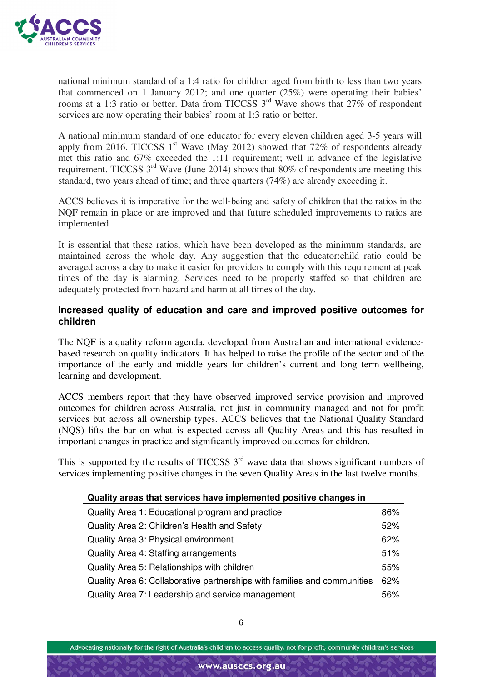

national minimum standard of a 1:4 ratio for children aged from birth to less than two years that commenced on 1 January 2012; and one quarter (25%) were operating their babies' rooms at a 1:3 ratio or better. Data from TICCSS  $3<sup>rd</sup>$  Wave shows that 27% of respondent services are now operating their babies' room at 1:3 ratio or better.

A national minimum standard of one educator for every eleven children aged 3-5 years will apply from 2016. TICCSS  $1<sup>st</sup>$  Wave (May 2012) showed that 72% of respondents already met this ratio and 67% exceeded the 1:11 requirement; well in advance of the legislative requirement. TICCSS  $3<sup>rd</sup>$  Wave (June 2014) shows that 80% of respondents are meeting this standard, two years ahead of time; and three quarters (74%) are already exceeding it.

ACCS believes it is imperative for the well-being and safety of children that the ratios in the NQF remain in place or are improved and that future scheduled improvements to ratios are implemented.

It is essential that these ratios, which have been developed as the minimum standards, are maintained across the whole day. Any suggestion that the educator:child ratio could be averaged across a day to make it easier for providers to comply with this requirement at peak times of the day is alarming. Services need to be properly staffed so that children are adequately protected from hazard and harm at all times of the day.

#### **Increased quality of education and care and improved positive outcomes for children**

The NQF is a quality reform agenda, developed from Australian and international evidencebased research on quality indicators. It has helped to raise the profile of the sector and of the importance of the early and middle years for children's current and long term wellbeing, learning and development.

ACCS members report that they have observed improved service provision and improved outcomes for children across Australia, not just in community managed and not for profit services but across all ownership types. ACCS believes that the National Quality Standard (NQS) lifts the bar on what is expected across all Quality Areas and this has resulted in important changes in practice and significantly improved outcomes for children.

This is supported by the results of TICCSS  $3<sup>rd</sup>$  wave data that shows significant numbers of services implementing positive changes in the seven Quality Areas in the last twelve months.

| Quality areas that services have implemented positive changes in         |     |
|--------------------------------------------------------------------------|-----|
| Quality Area 1: Educational program and practice                         | 86% |
| Quality Area 2: Children's Health and Safety                             | 52% |
| Quality Area 3: Physical environment                                     | 62% |
| Quality Area 4: Staffing arrangements                                    | 51% |
| Quality Area 5: Relationships with children                              | 55% |
| Quality Area 6: Collaborative partnerships with families and communities | 62% |
| Quality Area 7: Leadership and service management                        | 56% |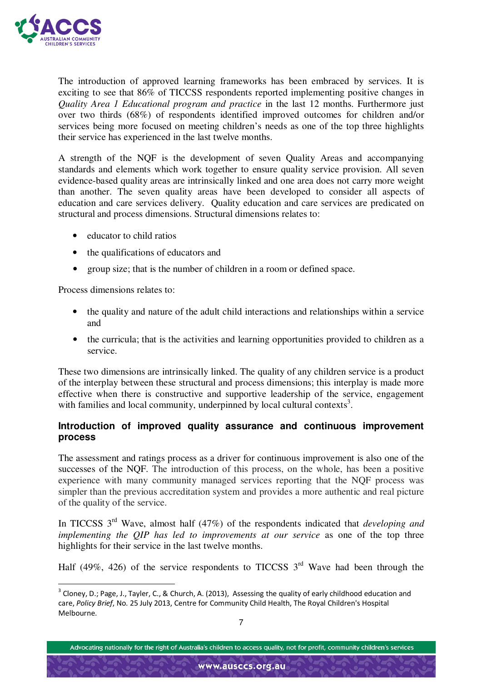

 $\overline{\phantom{a}}$ 

The introduction of approved learning frameworks has been embraced by services. It is exciting to see that 86% of TICCSS respondents reported implementing positive changes in *Quality Area 1 Educational program and practice* in the last 12 months. Furthermore just over two thirds (68%) of respondents identified improved outcomes for children and/or services being more focused on meeting children's needs as one of the top three highlights their service has experienced in the last twelve months.

A strength of the NQF is the development of seven Quality Areas and accompanying standards and elements which work together to ensure quality service provision. All seven evidence-based quality areas are intrinsically linked and one area does not carry more weight than another. The seven quality areas have been developed to consider all aspects of education and care services delivery. Quality education and care services are predicated on structural and process dimensions. Structural dimensions relates to:

- educator to child ratios
- the qualifications of educators and
- group size; that is the number of children in a room or defined space.

Process dimensions relates to:

- the quality and nature of the adult child interactions and relationships within a service and
- the curricula; that is the activities and learning opportunities provided to children as a service.

These two dimensions are intrinsically linked. The quality of any children service is a product of the interplay between these structural and process dimensions; this interplay is made more effective when there is constructive and supportive leadership of the service, engagement with families and local community, underpinned by local cultural contexts<sup>3</sup>.

### **Introduction of improved quality assurance and continuous improvement process**

The assessment and ratings process as a driver for continuous improvement is also one of the successes of the NQF. The introduction of this process, on the whole, has been a positive experience with many community managed services reporting that the NQF process was simpler than the previous accreditation system and provides a more authentic and real picture of the quality of the service.

In TICCSS 3rd Wave, almost half (47%) of the respondents indicated that *developing and implementing the QIP has led to improvements at our service* as one of the top three highlights for their service in the last twelve months.

Half (49%, 426) of the service respondents to TICCSS  $3<sup>rd</sup>$  Wave had been through the

Advocating nationally for the right of Australia's children to access quality, not for profit, community children's services

 $3$  Cloney, D.; Page, J., Tayler, C., & Church, A. (2013), Assessing the quality of early childhood education and care, *Policy Brief*, No. 25 July 2013, Centre for Community Child Health, The Royal Children's Hospital Melbourne.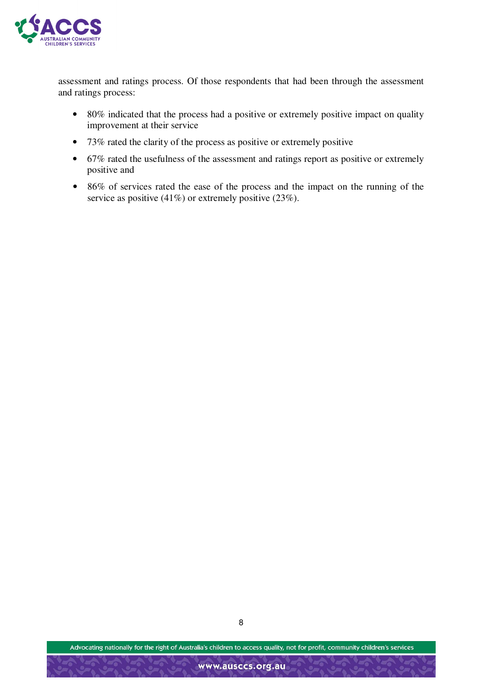

assessment and ratings process. Of those respondents that had been through the assessment and ratings process:

- 80% indicated that the process had a positive or extremely positive impact on quality improvement at their service
- 73% rated the clarity of the process as positive or extremely positive
- 67% rated the usefulness of the assessment and ratings report as positive or extremely positive and
- 86% of services rated the ease of the process and the impact on the running of the service as positive (41%) or extremely positive (23%).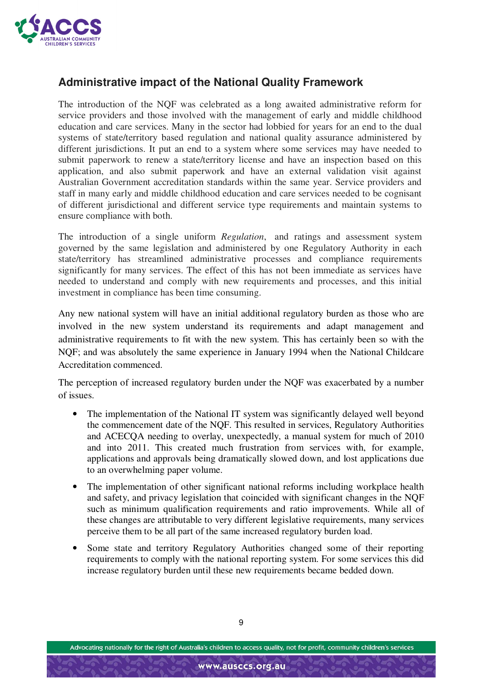

## **Administrative impact of the National Quality Framework**

The introduction of the NQF was celebrated as a long awaited administrative reform for service providers and those involved with the management of early and middle childhood education and care services. Many in the sector had lobbied for years for an end to the dual systems of state/territory based regulation and national quality assurance administered by different jurisdictions. It put an end to a system where some services may have needed to submit paperwork to renew a state/territory license and have an inspection based on this application, and also submit paperwork and have an external validation visit against Australian Government accreditation standards within the same year. Service providers and staff in many early and middle childhood education and care services needed to be cognisant of different jurisdictional and different service type requirements and maintain systems to ensure compliance with both.

The introduction of a single uniform *Regulation*, and ratings and assessment system governed by the same legislation and administered by one Regulatory Authority in each state/territory has streamlined administrative processes and compliance requirements significantly for many services. The effect of this has not been immediate as services have needed to understand and comply with new requirements and processes, and this initial investment in compliance has been time consuming.

Any new national system will have an initial additional regulatory burden as those who are involved in the new system understand its requirements and adapt management and administrative requirements to fit with the new system. This has certainly been so with the NQF; and was absolutely the same experience in January 1994 when the National Childcare Accreditation commenced.

The perception of increased regulatory burden under the NQF was exacerbated by a number of issues.

- The implementation of the National IT system was significantly delayed well beyond the commencement date of the NQF. This resulted in services, Regulatory Authorities and ACECQA needing to overlay, unexpectedly, a manual system for much of 2010 and into 2011. This created much frustration from services with, for example, applications and approvals being dramatically slowed down, and lost applications due to an overwhelming paper volume.
- The implementation of other significant national reforms including workplace health and safety, and privacy legislation that coincided with significant changes in the NQF such as minimum qualification requirements and ratio improvements. While all of these changes are attributable to very different legislative requirements, many services perceive them to be all part of the same increased regulatory burden load.
- Some state and territory Regulatory Authorities changed some of their reporting requirements to comply with the national reporting system. For some services this did increase regulatory burden until these new requirements became bedded down.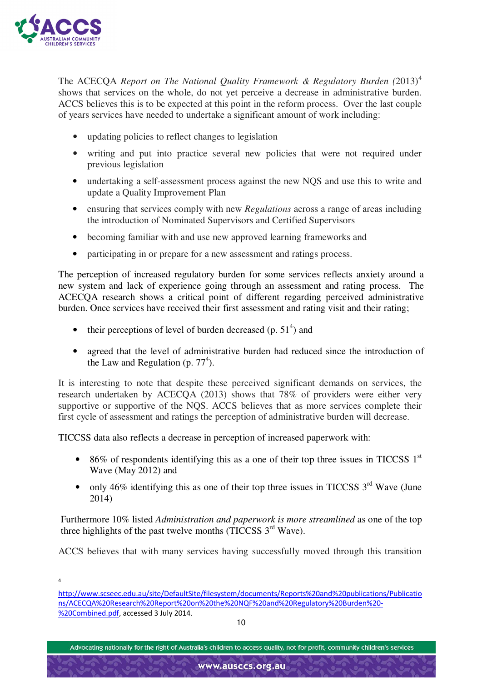

The ACECQA *Report on The National Quality Framework & Regulatory Burden (*2013)<sup>4</sup> shows that services on the whole, do not yet perceive a decrease in administrative burden. ACCS believes this is to be expected at this point in the reform process. Over the last couple of years services have needed to undertake a significant amount of work including:

- updating policies to reflect changes to legislation
- writing and put into practice several new policies that were not required under previous legislation
- undertaking a self-assessment process against the new NQS and use this to write and update a Quality Improvement Plan
- ensuring that services comply with new *Regulations* across a range of areas including the introduction of Nominated Supervisors and Certified Supervisors
- becoming familiar with and use new approved learning frameworks and
- participating in or prepare for a new assessment and ratings process.

The perception of increased regulatory burden for some services reflects anxiety around a new system and lack of experience going through an assessment and rating process. The ACECQA research shows a critical point of different regarding perceived administrative burden. Once services have received their first assessment and rating visit and their rating;

- their perceptions of level of burden decreased  $(p. 51<sup>4</sup>)$  and
- agreed that the level of administrative burden had reduced since the introduction of the Law and Regulation (p.  $77<sup>4</sup>$ ).

It is interesting to note that despite these perceived significant demands on services, the research undertaken by ACECQA (2013) shows that 78% of providers were either very supportive or supportive of the NQS. ACCS believes that as more services complete their first cycle of assessment and ratings the perception of administrative burden will decrease.

TICCSS data also reflects a decrease in perception of increased paperwork with:

- 86% of respondents identifying this as a one of their top three issues in TICCSS  $1<sup>st</sup>$ Wave (May 2012) and
- only 46% identifying this as one of their top three issues in TICCSS  $3<sup>rd</sup>$  Wave (June 2014)

Furthermore 10% listed *Administration and paperwork is more streamlined* as one of the top three highlights of the past twelve months (TICCSS  $3<sup>rd</sup>$  Wave).

ACCS believes that with many services having successfully moved through this transition

-4

http://www.scseec.edu.au/site/DefaultSite/filesystem/documents/Reports%20and%20publications/Publicatio ns/ACECQA%20Research%20Report%20on%20the%20NQF%20and%20Regulatory%20Burden%20- %20Combined.pdf, accessed 3 July 2014.

Advocating nationally for the right of Australia's children to access quality, not for profit, community children's services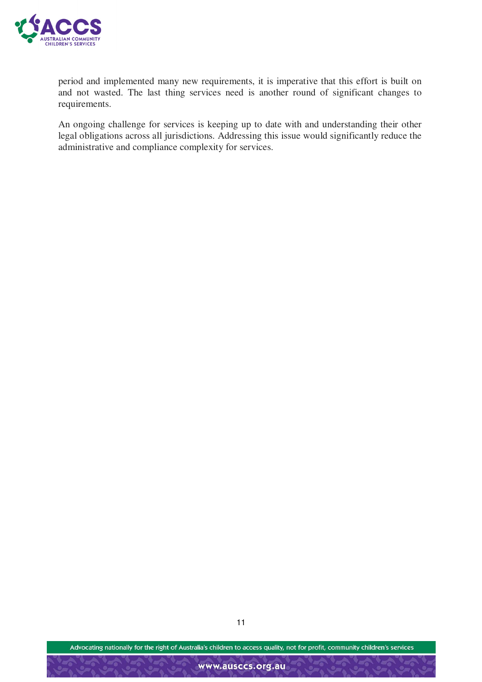

period and implemented many new requirements, it is imperative that this effort is built on and not wasted. The last thing services need is another round of significant changes to requirements.

An ongoing challenge for services is keeping up to date with and understanding their other legal obligations across all jurisdictions. Addressing this issue would significantly reduce the administrative and compliance complexity for services.

Advocating nationally for the right of Australia's children to access quality, not for profit, community children's services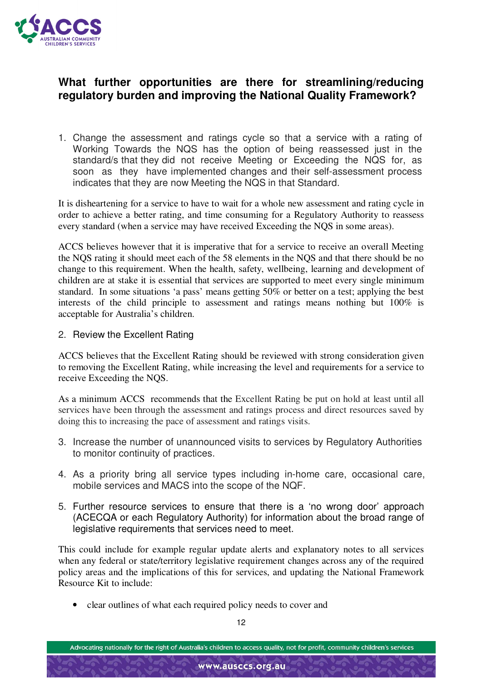

## **What further opportunities are there for streamlining/reducing regulatory burden and improving the National Quality Framework?**

1. Change the assessment and ratings cycle so that a service with a rating of Working Towards the NQS has the option of being reassessed just in the standard/s that they did not receive Meeting or Exceeding the NQS for, as soon as they have implemented changes and their self-assessment process indicates that they are now Meeting the NQS in that Standard.

It is disheartening for a service to have to wait for a whole new assessment and rating cycle in order to achieve a better rating, and time consuming for a Regulatory Authority to reassess every standard (when a service may have received Exceeding the NQS in some areas).

ACCS believes however that it is imperative that for a service to receive an overall Meeting the NQS rating it should meet each of the 58 elements in the NQS and that there should be no change to this requirement. When the health, safety, wellbeing, learning and development of children are at stake it is essential that services are supported to meet every single minimum standard. In some situations 'a pass' means getting 50% or better on a test; applying the best interests of the child principle to assessment and ratings means nothing but 100% is acceptable for Australia's children.

#### 2. Review the Excellent Rating

ACCS believes that the Excellent Rating should be reviewed with strong consideration given to removing the Excellent Rating, while increasing the level and requirements for a service to receive Exceeding the NQS.

As a minimum ACCS recommends that the Excellent Rating be put on hold at least until all services have been through the assessment and ratings process and direct resources saved by doing this to increasing the pace of assessment and ratings visits.

- 3. Increase the number of unannounced visits to services by Regulatory Authorities to monitor continuity of practices.
- 4. As a priority bring all service types including in-home care, occasional care, mobile services and MACS into the scope of the NQF.
- 5. Further resource services to ensure that there is a 'no wrong door' approach (ACECQA or each Regulatory Authority) for information about the broad range of legislative requirements that services need to meet.

This could include for example regular update alerts and explanatory notes to all services when any federal or state/territory legislative requirement changes across any of the required policy areas and the implications of this for services, and updating the National Framework Resource Kit to include:

• clear outlines of what each required policy needs to cover and

Advocating nationally for the right of Australia's children to access quality, not for profit, community children's services